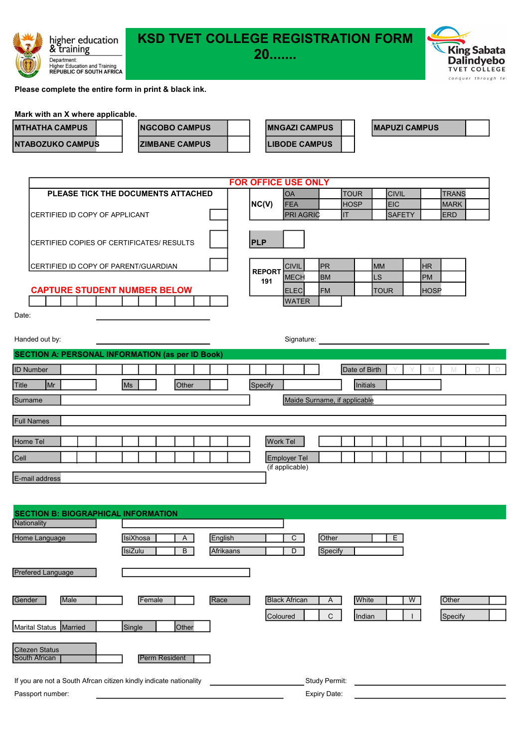

# KSD TVET COLLEGE REGISTRATION FORM<br>20

20.......



Please complete the entire form in print & black ink.

## Mark with an X where applicable.

| <b>MTHATHA CAMPUS</b> | <b>INGCOBO CAMPUS</b>  |  | <b>IMNGAZI CAMPUS</b> | <b>IMAPUZI CAMPUS</b> |  |
|-----------------------|------------------------|--|-----------------------|-----------------------|--|
| NTABOZUKO CAMPUS      | <b>IZIMBANE CAMPUS</b> |  | <b>LIBODE CAMPUS</b>  |                       |  |

|                                                         | <b>FOR OFFICE USE ONLY</b> |                  |                              |               |               |             |              |    |
|---------------------------------------------------------|----------------------------|------------------|------------------------------|---------------|---------------|-------------|--------------|----|
| PLEASE TICK THE DOCUMENTS ATTACHED                      |                            | <b>OA</b>        | <b>TOUR</b>                  |               | <b>CIVIL</b>  |             | <b>TRANS</b> |    |
|                                                         | NC(V)                      | <b>FEA</b>       | <b>HOSP</b>                  |               | <b>EIC</b>    |             | <b>MARK</b>  |    |
| CERTIFIED ID COPY OF APPLICANT                          |                            | <b>PRI AGRIC</b> | IT                           |               | <b>SAFETY</b> |             | <b>ERD</b>   |    |
| CERTIFIED COPIES OF CERTIFICATES/ RESULTS               | <b>PLP</b>                 |                  |                              |               |               |             |              |    |
| CERTIFIED ID COPY OF PARENT/GUARDIAN                    |                            | <b>CIVIL</b>     | <b>IPR</b>                   | <b>MM</b>     |               | <b>HR</b>   |              |    |
|                                                         | <b>REPORT</b><br>191       | <b>MECH</b>      | <b>BM</b>                    | LS            |               | <b>PM</b>   |              |    |
| <b>CAPTURE STUDENT NUMBER BELOW</b>                     |                            | <b>ELEC</b>      | <b>FM</b>                    |               | <b>TOUR</b>   | <b>HOSP</b> |              |    |
|                                                         |                            | <b>WATER</b>     |                              |               |               |             |              |    |
| Date:                                                   |                            |                  |                              |               |               |             |              |    |
|                                                         |                            |                  |                              |               |               |             |              |    |
| Handed out by:                                          |                            | Signature:       |                              |               |               |             |              |    |
| <b>SECTION A: PERSONAL INFORMATION (as per ID Book)</b> |                            |                  |                              |               |               |             |              |    |
| <b>ID Number</b>                                        |                            |                  |                              | Date of Birth |               |             | М            | D. |
| $\mathsf{M}$ r<br><b>Ms</b><br><b>Other</b>             | Specify                    |                  |                              | Initials      |               |             |              |    |
| Surname                                                 |                            |                  | Maide Surname, if applicable |               |               |             |              |    |

| <b>Full Names</b> |  |  |  |  |  |                     |  |  |  |  |  |
|-------------------|--|--|--|--|--|---------------------|--|--|--|--|--|
|                   |  |  |  |  |  |                     |  |  |  |  |  |
| Home Tel          |  |  |  |  |  | <b>Work Tel</b>     |  |  |  |  |  |
|                   |  |  |  |  |  |                     |  |  |  |  |  |
| Cell              |  |  |  |  |  | <b>Employer Tel</b> |  |  |  |  |  |
|                   |  |  |  |  |  | (if applicable)     |  |  |  |  |  |

E-mail address

| <b>SECTION B: BIOGRAPHICAL INFORMATION</b>                        |                      |           |                      |               |        |   |         |
|-------------------------------------------------------------------|----------------------|-----------|----------------------|---------------|--------|---|---------|
| Nationality                                                       |                      |           |                      |               |        |   |         |
| IsiXhosa<br>Home Language                                         | $\mathsf{A}$         | English   | C                    | Other         | E      |   |         |
| <b>IsiZulu</b>                                                    | B                    | Afrikaans | D                    | Specify       |        |   |         |
| <b>Prefered Language</b>                                          |                      |           |                      |               |        |   |         |
| Gender<br>Male                                                    | Female               | Race      | <b>Black African</b> | A             | White  | W | Other   |
| Single<br>Marital Status Married                                  | Other                |           | Coloured             | C             | Indian |   | Specify |
| <b>Citezen Status</b><br>South African                            | <b>Perm Resident</b> |           |                      |               |        |   |         |
| If you are not a South Afrcan citizen kindly indicate nationality |                      |           |                      | Study Permit: |        |   |         |
| Passport number:                                                  |                      |           |                      | Expiry Date:  |        |   |         |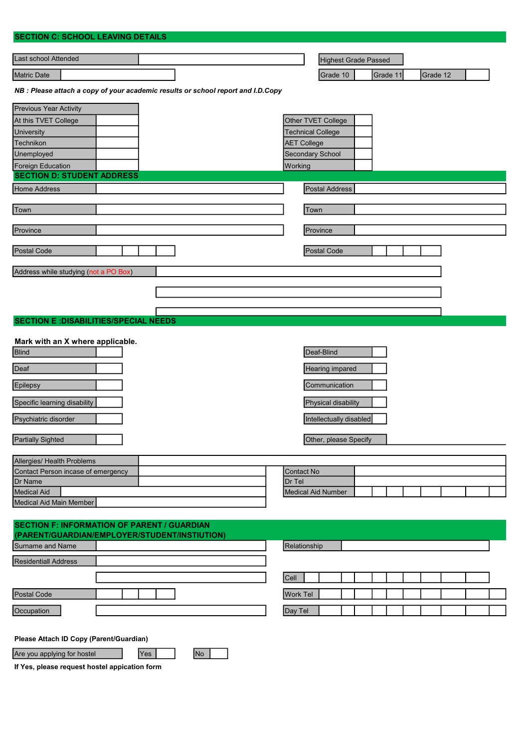| <b>SECTION C: SCHOOL LEAVING DETAILS</b>                                                                              |                                                                                                  |
|-----------------------------------------------------------------------------------------------------------------------|--------------------------------------------------------------------------------------------------|
| Last school Attended                                                                                                  | Highest Grade Passed                                                                             |
| Matric Date                                                                                                           | Grade 10<br>Grade 11<br>Grade 12                                                                 |
|                                                                                                                       |                                                                                                  |
| NB : Please attach a copy of your academic results or school report and I.D.Copy                                      |                                                                                                  |
| Previous Year Activity                                                                                                |                                                                                                  |
| At this TVET College                                                                                                  | Other TVET College                                                                               |
| University                                                                                                            | <b>Technical College</b>                                                                         |
| Technikon<br>Unemployed                                                                                               | <b>AET College</b><br>Secondary School                                                           |
| <b>Foreign Education</b>                                                                                              | Working                                                                                          |
| <b>SECTION D: STUDENT ADDRESS</b>                                                                                     |                                                                                                  |
| Home Address                                                                                                          | <b>Postal Address</b>                                                                            |
|                                                                                                                       |                                                                                                  |
| Town                                                                                                                  | Town                                                                                             |
| Province                                                                                                              | Province                                                                                         |
|                                                                                                                       |                                                                                                  |
| Postal Code                                                                                                           | Postal Code                                                                                      |
| Address while studying (not a PO Box)                                                                                 |                                                                                                  |
|                                                                                                                       |                                                                                                  |
|                                                                                                                       |                                                                                                  |
|                                                                                                                       |                                                                                                  |
| <b>SECTION E: DISABILITIES/SPECIAL NEEDS</b>                                                                          |                                                                                                  |
| Mark with an X where applicable.<br>Blind<br>Deaf<br>Epilepsy<br>Specific learning disability<br>Psychiatric disorder | Deaf-Blind<br>Hearing impared<br>Communication<br>Physical disability<br>Intellectually disabled |
| <b>Partially Sighted</b>                                                                                              | Other, please Specify                                                                            |
| Allergies/ Health Problems                                                                                            |                                                                                                  |
| Contact Person incase of emergency                                                                                    | Contact No                                                                                       |
| Dr Name<br><b>Medical Aid</b>                                                                                         | Dr Tel<br><b>Medical Aid Number</b>                                                              |
| Medical Aid Main Member                                                                                               |                                                                                                  |
|                                                                                                                       |                                                                                                  |
| <b>SECTION F: INFORMATION OF PARENT / GUARDIAN</b>                                                                    |                                                                                                  |
| (PARENT/GUARDIAN/EMPLOYER/STUDENT/INSTIUTION)                                                                         |                                                                                                  |
| Surname and Name                                                                                                      | Relationship                                                                                     |
| <b>Residentiall Address</b>                                                                                           |                                                                                                  |
|                                                                                                                       | Cell                                                                                             |
| Postal Code                                                                                                           | <b>Work Tel</b>                                                                                  |
| Occupation                                                                                                            |                                                                                                  |
|                                                                                                                       | Day Tel                                                                                          |

Please Attach ID Copy (Parent/Guardian)

Are you applying for hostel Yes Yes No

If Yes, please request hostel appication form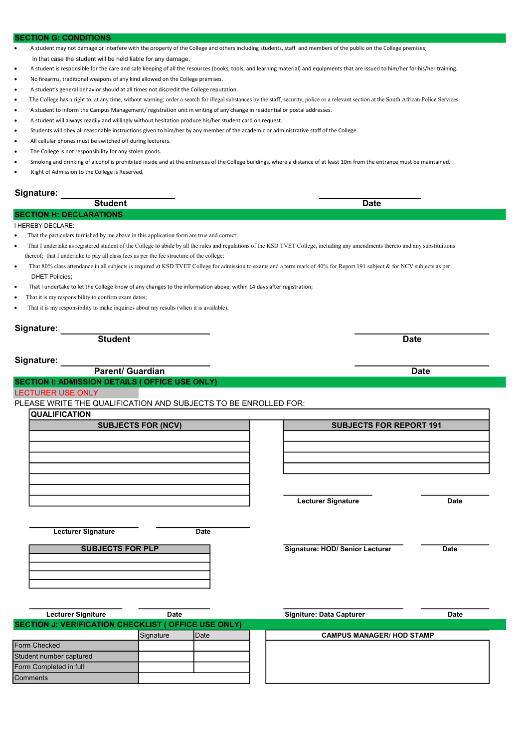### CTION G: CONDITIONS

- A student may not damage or interfere with the property of the College and others including students, staff and members of the public on the College premises;
- In that case the student will be held liable for any damage.
- A student is responsible for the care and safe keeping of all the resources (books, tools, and learning material) and equipments that are issued to him/her for his/her training.
- No firearms, traditional weapons of any kind allowed on the College premises.
- A student's general behavior should at all times not discredit the College reputation.
- The College has a right to, at any time, without warning; order a search for illegal substances by the staff, security, police or a relevant section at the South African Police Services.
- A student to inform the Campus Management/ registration unit in writing of any change in residential or postal addresses.
- A student will always readily and willingly without hesitation produce his/her student card on request.
- Students will obey all reasonable instructions given to him/her by any member of the academic or administrative staff of the College.
- All cellular phones must be switched off during lecturers.
- The College is not responsibility for any stolen goods.
- Smoking and drinking of alcohol is prohibited inside and at the entrances of the College buildings, where a distance of at least 10m from the entrance must be maintained.
- Right of Admission to the College is Reserved.

## Signature:

| Student                          | <b>Date</b> |
|----------------------------------|-------------|
| ON HE DECLAPATIONS<br><b>SEC</b> |             |
|                                  |             |

I HEREBY DECLARE:

- That the particulars furnished by me above in this application form are true and correct;
- That I undertake as registered student of the College to abide by all the rules and regulations of the KSD TVET College, including any amendments thereto and any substituitions thereof; that I undertake to pay all class fees as per the fee structure of the college;
- That 80% class attendance in all subjects is required at KSD TVET College for admission to exams and a term mark of 40% for Report 191 subject & for NCV subjects as per DHET Policies;
- That I undertake to let the College know of any changes to the information above, within 14 days after registration;
- That it is my responsibility to confirm exam dates;
- That it is my responsibility to make inquiries about my results (when it is available).

Signature:

Student Date

## Signature:

**Parent/ Guardian Date Contract Contract Contract Contract Contract Contract Contract Contract Contract Contract Contract Contract Contract Contract Contract Contract Contract Contract Contract Contract Contract Contract C** 

## SECTION I: ADMISSION DETAILS ( OFFICE USE ONLY)

## LECTURER USE ONLY

## PLEASE WRITE THE QUALIFICATION AND SUBJECTS TO BE ENROLLED FOR:

**QUALIFICATION** 

| <b>SUBJECTS FOR (NCV)</b> |  |  |  |  |  |
|---------------------------|--|--|--|--|--|
|                           |  |  |  |  |  |
|                           |  |  |  |  |  |
|                           |  |  |  |  |  |
|                           |  |  |  |  |  |
|                           |  |  |  |  |  |
|                           |  |  |  |  |  |
|                           |  |  |  |  |  |
|                           |  |  |  |  |  |

Lecturer Signature Date

## SUBJECTS FOR PLP

Signature: HOD/ Senior Lecturer Date

| Lecturer Signiture                                  | Date      |               | <b>Signiture: Data Capturer</b>  | Date |
|-----------------------------------------------------|-----------|---------------|----------------------------------|------|
| SECTION J: VERIFICATION CHECKLIST (OFFICE USE ONLY) |           |               |                                  |      |
|                                                     | Signature | <b>I</b> Date | <b>CAMPUS MANAGER/ HOD STAMP</b> |      |
| Form Checked                                        |           |               |                                  |      |
| Student number captured                             |           |               |                                  |      |
| Form Completed in full                              |           |               |                                  |      |
| <b>Comments</b>                                     |           |               |                                  |      |

SUBJECTS FOR REPORT 191

Lecturer Signature **Date**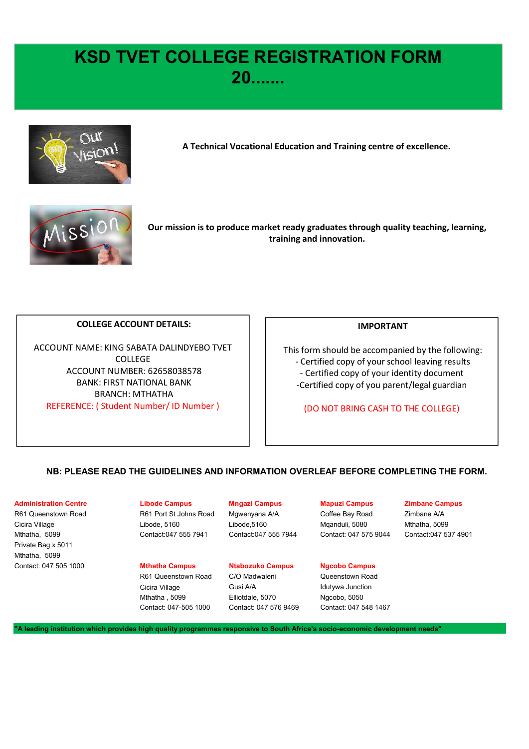## KSD TVET COLLEGE REGISTRATION FORM 20.......



A Technical Vocational Education and Training centre of excellence.



Our mission is to produce market ready graduates through quality teaching, learning, training and innovation.

## COLLEGE ACCOUNT DETAILS:

ACCOUNT NAME: KING SABATA DALINDYEBO TVET COLLEGE BANK: FIRST NATIONAL BANK BRANCH: MTHATHA WE SALEM THE CHILIBE INTERNATION AND REFERENCE: (STUDENT THE CHILIBE INTERNATION ON THE CHILIBE ON THE CHILIBE ON THE CHILIBE ON THE CHILIBE ON THE CHILIBE ON THE CHILIBE ON THE CHILIBE ON THE CHILIBE ON THE CHILIBE ON THE

## IMPORTANT

This form should be accompanied by the following: ation and Training centre of excellence.<br>
dy graduates through quality teaching, learning,<br>
g and innovation.<br>
IMPORTANT<br>
s form should be accompanied by the following:<br>
- Certified copy of your school leaving results<br>
- C Vertical Collection Controllery of Marine Controllery<br>
19 Strategies and innovation.<br>
19 Strategies and innovation.<br>
19 Strategies Companied by the following:<br>
Certified copy of your school leaving results<br>
20 Certified co -Certified copy of you parent/legal guardian ACCOUNT NUMBER: 62658038578 **ACCOUNT NUMBER: 62658038578 Account** 

(DO NOT BRING CASH TO THE COLLEGE)

## NB: PLEASE READ THE GUIDELINES AND INFORMATION OVERLEAF BEFORE COMPLETING THE FORM.

## Administration Centre Libode Campus Mngazi Campus Mapuzi Campus Zimbane Campus

 $\overline{\phantom{a}}$  $\overline{\phantom{a}}$  $\overline{\phantom{a}}$  $\overline{\phantom{a}}$ 

 $\overline{\phantom{a}}$ 

 $\overline{\phantom{a}}$ 

Mthatha, 5099 Contact:047 555 7941 Contact:047 555 7944 Contact: 047 575 9044 Contact:047 537 4901 Private Bag x 5011 Mthatha, 5099

R61 Queenstown Road **R61 Port St Johns Road** Mgwenyana A/A Coffee Bay Road Zimbane A/A Cicira Village Libode, 5160 Libode,5160 Mqanduli, 5080 Mthatha, 5099

Contact: 047 505 1000 **Mthatha Campus** Ntabozuko Campus Ngcobo Campus R61 Queenstown Road C/O Madwaleni Queenstown Road

Cicira Village **Gusi A/A** Idutywa Junction Mthatha , 5099 Elliotdale, 5070 Ngcobo, 5050

Contact: 047-505 1000 Contact: 047 576 9469 Contact: 047 548 1467

## "A leading institution which provides high quality programmes responsive to South Africa's socio-economic development needs"